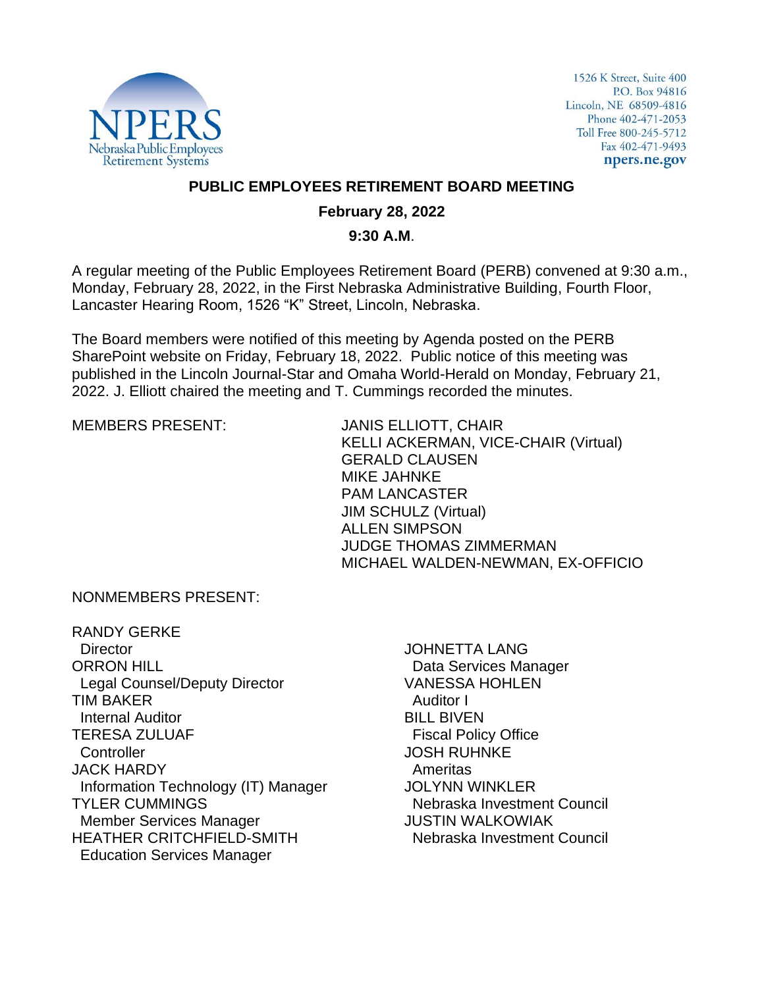

1526 K Street, Suite 400 P.O. Box 94816 Lincoln, NE 68509-4816 Phone 402-471-2053 Toll Free 800-245-5712 Fax 402-471-9493 npers.ne.gov

### **PUBLIC EMPLOYEES RETIREMENT BOARD MEETING**

## **February 28, 2022**

#### **9:30 A.M**.

A regular meeting of the Public Employees Retirement Board (PERB) convened at 9:30 a.m., Monday, February 28, 2022, in the First Nebraska Administrative Building, Fourth Floor, Lancaster Hearing Room, 1526 "K" Street, Lincoln, Nebraska.

The Board members were notified of this meeting by Agenda posted on the PERB SharePoint website on Friday, February 18, 2022. Public notice of this meeting was published in the Lincoln Journal-Star and Omaha World-Herald on Monday, February 21, 2022. J. Elliott chaired the meeting and T. Cummings recorded the minutes.

MEMBERS PRESENT: JANIS ELLIOTT, CHAIR KELLI ACKERMAN, VICE-CHAIR (Virtual) GERALD CLAUSEN MIKE JAHNKE PAM LANCASTER JIM SCHULZ (Virtual) ALLEN SIMPSON JUDGE THOMAS ZIMMERMAN MICHAEL WALDEN-NEWMAN, EX-OFFICIO

NONMEMBERS PRESENT:

RANDY GERKE **Director** ORRON HILL Legal Counsel/Deputy Director TIM BAKER Internal Auditor TERESA ZULUAF **Controller** JACK HARDY Information Technology (IT) Manager TYLER CUMMINGS Member Services Manager HEATHER CRITCHFIELD-SMITH Education Services Manager

JOHNETTA LANG Data Services Manager VANESSA HOHLEN Auditor I BILL BIVEN Fiscal Policy Office JOSH RUHNKE Ameritas JOLYNN WINKLER Nebraska Investment Council JUSTIN WALKOWIAK Nebraska Investment Council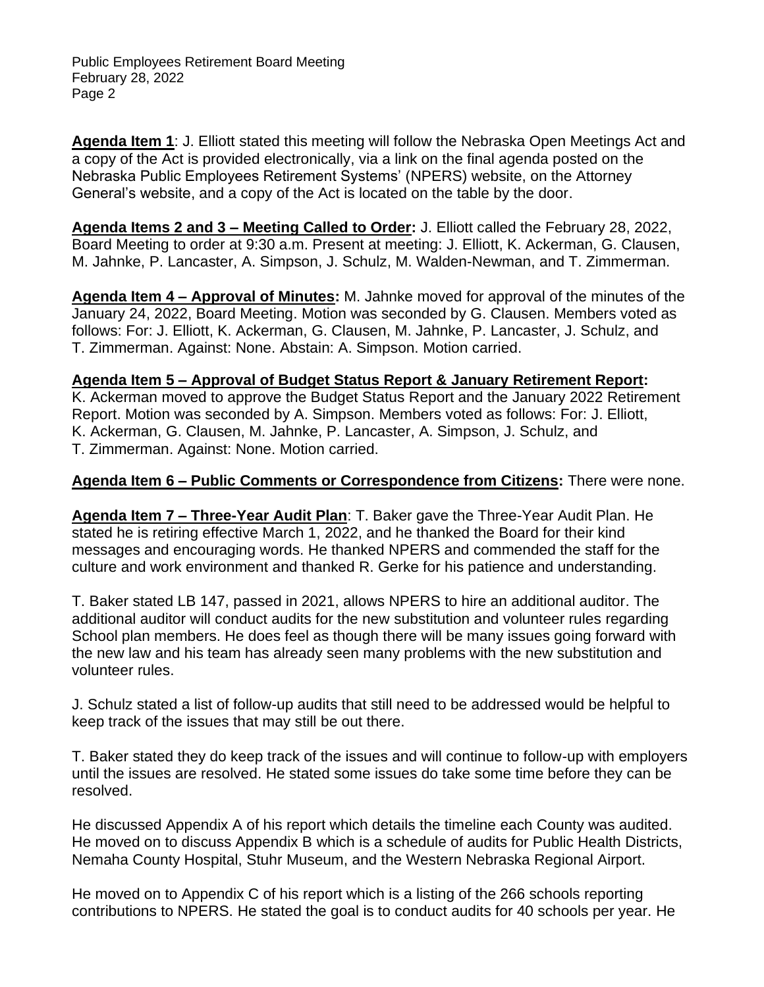**Agenda Item 1**: J. Elliott stated this meeting will follow the Nebraska Open Meetings Act and a copy of the Act is provided electronically, via a link on the final agenda posted on the Nebraska Public Employees Retirement Systems' (NPERS) website, on the Attorney General's website, and a copy of the Act is located on the table by the door.

**Agenda Items 2 and 3 – Meeting Called to Order:** J. Elliott called the February 28, 2022, Board Meeting to order at 9:30 a.m. Present at meeting: J. Elliott, K. Ackerman, G. Clausen, M. Jahnke, P. Lancaster, A. Simpson, J. Schulz, M. Walden-Newman, and T. Zimmerman.

**Agenda Item 4 – Approval of Minutes:** M. Jahnke moved for approval of the minutes of the January 24, 2022, Board Meeting. Motion was seconded by G. Clausen. Members voted as follows: For: J. Elliott, K. Ackerman, G. Clausen, M. Jahnke, P. Lancaster, J. Schulz, and T. Zimmerman. Against: None. Abstain: A. Simpson. Motion carried.

### **Agenda Item 5 – Approval of Budget Status Report & January Retirement Report:**

K. Ackerman moved to approve the Budget Status Report and the January 2022 Retirement Report. Motion was seconded by A. Simpson. Members voted as follows: For: J. Elliott, K. Ackerman, G. Clausen, M. Jahnke, P. Lancaster, A. Simpson, J. Schulz, and T. Zimmerman. Against: None. Motion carried.

#### **Agenda Item 6 – Public Comments or Correspondence from Citizens:** There were none.

**Agenda Item 7 – Three-Year Audit Plan**: T. Baker gave the Three-Year Audit Plan. He stated he is retiring effective March 1, 2022, and he thanked the Board for their kind messages and encouraging words. He thanked NPERS and commended the staff for the culture and work environment and thanked R. Gerke for his patience and understanding.

T. Baker stated LB 147, passed in 2021, allows NPERS to hire an additional auditor. The additional auditor will conduct audits for the new substitution and volunteer rules regarding School plan members. He does feel as though there will be many issues going forward with the new law and his team has already seen many problems with the new substitution and volunteer rules.

J. Schulz stated a list of follow-up audits that still need to be addressed would be helpful to keep track of the issues that may still be out there.

T. Baker stated they do keep track of the issues and will continue to follow-up with employers until the issues are resolved. He stated some issues do take some time before they can be resolved.

He discussed Appendix A of his report which details the timeline each County was audited. He moved on to discuss Appendix B which is a schedule of audits for Public Health Districts, Nemaha County Hospital, Stuhr Museum, and the Western Nebraska Regional Airport.

He moved on to Appendix C of his report which is a listing of the 266 schools reporting contributions to NPERS. He stated the goal is to conduct audits for 40 schools per year. He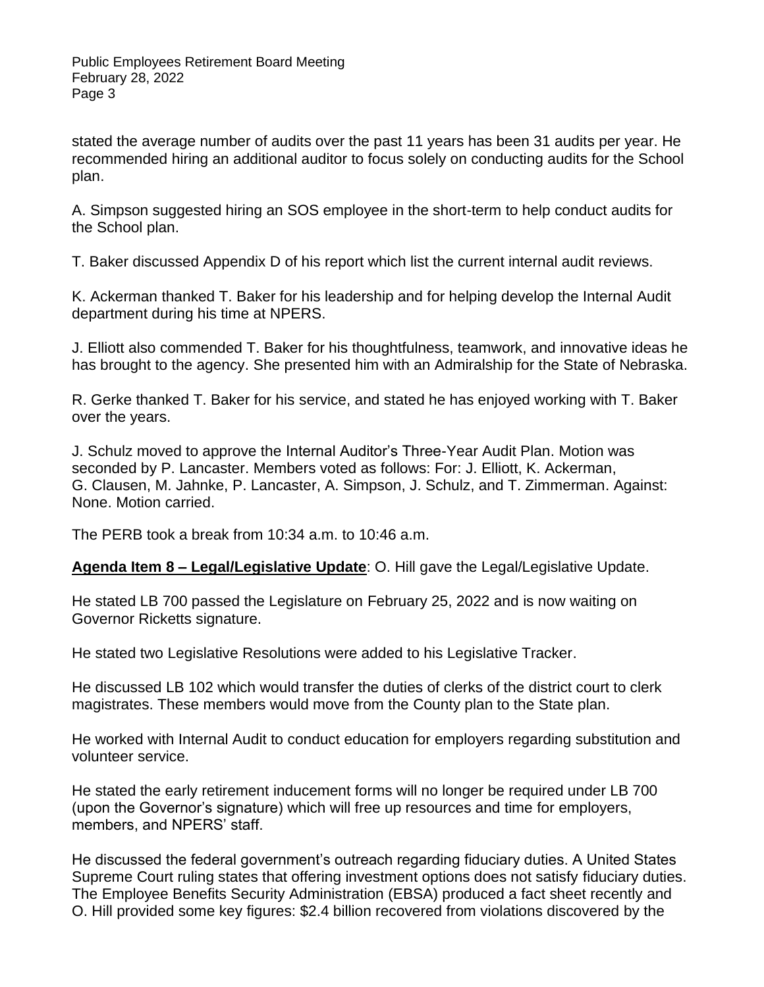stated the average number of audits over the past 11 years has been 31 audits per year. He recommended hiring an additional auditor to focus solely on conducting audits for the School plan.

A. Simpson suggested hiring an SOS employee in the short-term to help conduct audits for the School plan.

T. Baker discussed Appendix D of his report which list the current internal audit reviews.

K. Ackerman thanked T. Baker for his leadership and for helping develop the Internal Audit department during his time at NPERS.

J. Elliott also commended T. Baker for his thoughtfulness, teamwork, and innovative ideas he has brought to the agency. She presented him with an Admiralship for the State of Nebraska.

R. Gerke thanked T. Baker for his service, and stated he has enjoyed working with T. Baker over the years.

J. Schulz moved to approve the Internal Auditor's Three-Year Audit Plan. Motion was seconded by P. Lancaster. Members voted as follows: For: J. Elliott, K. Ackerman, G. Clausen, M. Jahnke, P. Lancaster, A. Simpson, J. Schulz, and T. Zimmerman. Against: None. Motion carried.

The PERB took a break from 10:34 a.m. to 10:46 a.m.

**Agenda Item 8 – Legal/Legislative Update**: O. Hill gave the Legal/Legislative Update.

He stated LB 700 passed the Legislature on February 25, 2022 and is now waiting on Governor Ricketts signature.

He stated two Legislative Resolutions were added to his Legislative Tracker.

He discussed LB 102 which would transfer the duties of clerks of the district court to clerk magistrates. These members would move from the County plan to the State plan.

He worked with Internal Audit to conduct education for employers regarding substitution and volunteer service.

He stated the early retirement inducement forms will no longer be required under LB 700 (upon the Governor's signature) which will free up resources and time for employers, members, and NPERS' staff.

He discussed the federal government's outreach regarding fiduciary duties. A United States Supreme Court ruling states that offering investment options does not satisfy fiduciary duties. The Employee Benefits Security Administration (EBSA) produced a fact sheet recently and O. Hill provided some key figures: \$2.4 billion recovered from violations discovered by the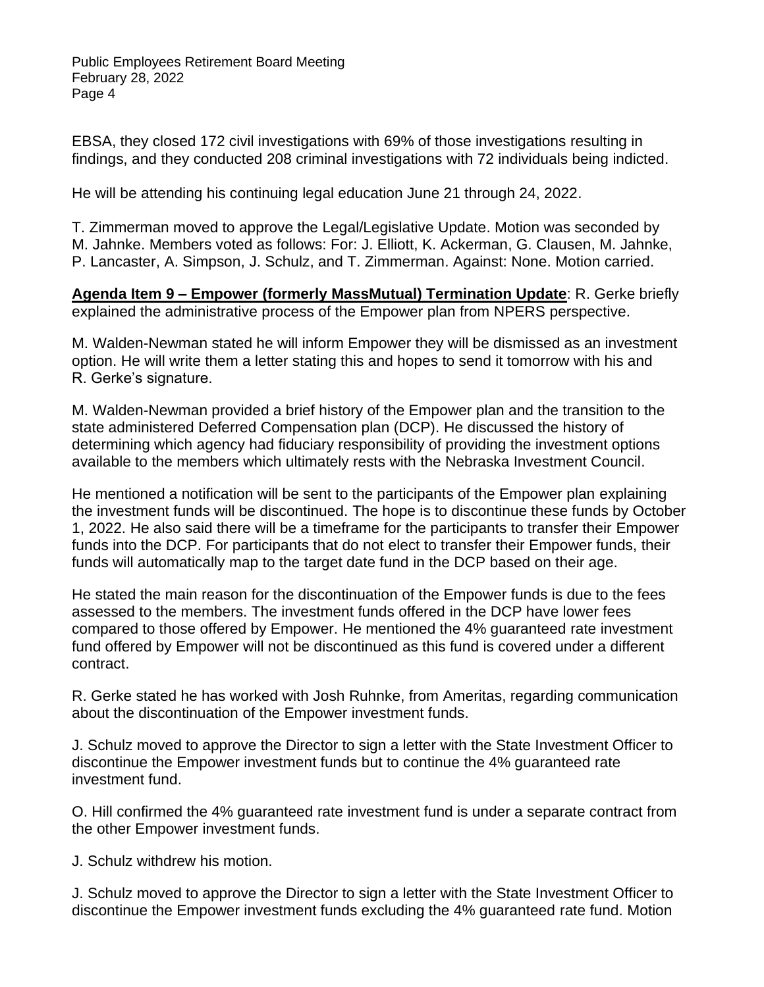EBSA, they closed 172 civil investigations with 69% of those investigations resulting in findings, and they conducted 208 criminal investigations with 72 individuals being indicted.

He will be attending his continuing legal education June 21 through 24, 2022.

T. Zimmerman moved to approve the Legal/Legislative Update. Motion was seconded by M. Jahnke. Members voted as follows: For: J. Elliott, K. Ackerman, G. Clausen, M. Jahnke, P. Lancaster, A. Simpson, J. Schulz, and T. Zimmerman. Against: None. Motion carried.

**Agenda Item 9 – Empower (formerly MassMutual) Termination Update**: R. Gerke briefly explained the administrative process of the Empower plan from NPERS perspective.

M. Walden-Newman stated he will inform Empower they will be dismissed as an investment option. He will write them a letter stating this and hopes to send it tomorrow with his and R. Gerke's signature.

M. Walden-Newman provided a brief history of the Empower plan and the transition to the state administered Deferred Compensation plan (DCP). He discussed the history of determining which agency had fiduciary responsibility of providing the investment options available to the members which ultimately rests with the Nebraska Investment Council.

He mentioned a notification will be sent to the participants of the Empower plan explaining the investment funds will be discontinued. The hope is to discontinue these funds by October 1, 2022. He also said there will be a timeframe for the participants to transfer their Empower funds into the DCP. For participants that do not elect to transfer their Empower funds, their funds will automatically map to the target date fund in the DCP based on their age.

He stated the main reason for the discontinuation of the Empower funds is due to the fees assessed to the members. The investment funds offered in the DCP have lower fees compared to those offered by Empower. He mentioned the 4% guaranteed rate investment fund offered by Empower will not be discontinued as this fund is covered under a different contract.

R. Gerke stated he has worked with Josh Ruhnke, from Ameritas, regarding communication about the discontinuation of the Empower investment funds.

J. Schulz moved to approve the Director to sign a letter with the State Investment Officer to discontinue the Empower investment funds but to continue the 4% guaranteed rate investment fund.

O. Hill confirmed the 4% guaranteed rate investment fund is under a separate contract from the other Empower investment funds.

J. Schulz withdrew his motion.

J. Schulz moved to approve the Director to sign a letter with the State Investment Officer to discontinue the Empower investment funds excluding the 4% guaranteed rate fund. Motion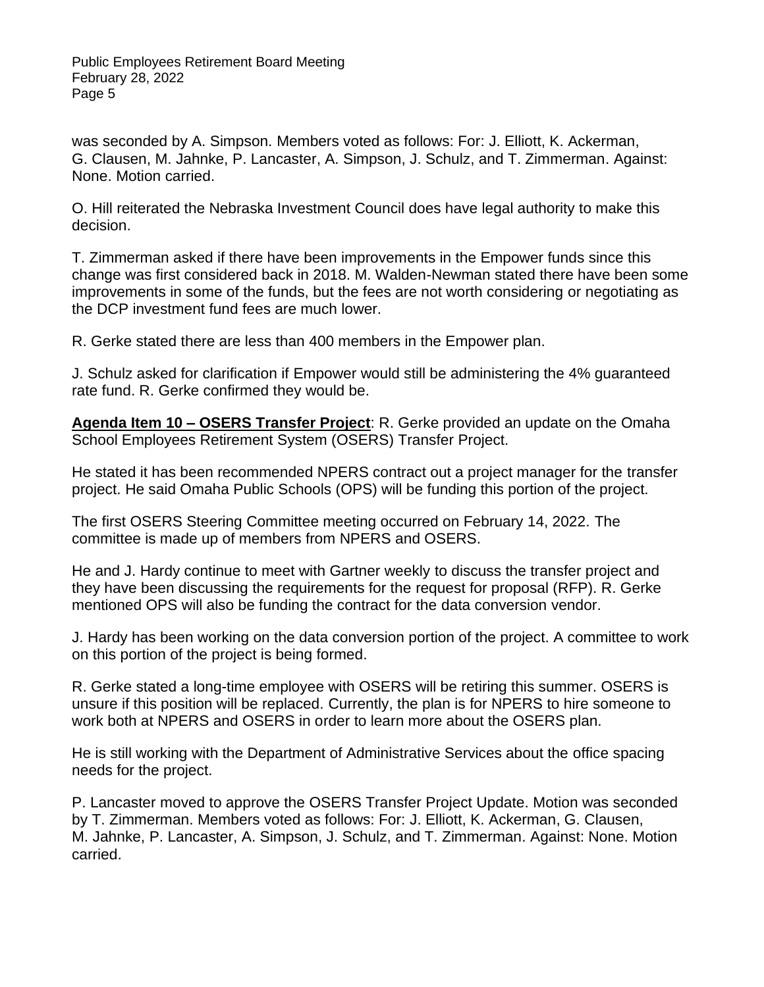was seconded by A. Simpson. Members voted as follows: For: J. Elliott, K. Ackerman, G. Clausen, M. Jahnke, P. Lancaster, A. Simpson, J. Schulz, and T. Zimmerman. Against: None. Motion carried.

O. Hill reiterated the Nebraska Investment Council does have legal authority to make this decision.

T. Zimmerman asked if there have been improvements in the Empower funds since this change was first considered back in 2018. M. Walden-Newman stated there have been some improvements in some of the funds, but the fees are not worth considering or negotiating as the DCP investment fund fees are much lower.

R. Gerke stated there are less than 400 members in the Empower plan.

J. Schulz asked for clarification if Empower would still be administering the 4% guaranteed rate fund. R. Gerke confirmed they would be.

**Agenda Item 10 – OSERS Transfer Project**: R. Gerke provided an update on the Omaha School Employees Retirement System (OSERS) Transfer Project.

He stated it has been recommended NPERS contract out a project manager for the transfer project. He said Omaha Public Schools (OPS) will be funding this portion of the project.

The first OSERS Steering Committee meeting occurred on February 14, 2022. The committee is made up of members from NPERS and OSERS.

He and J. Hardy continue to meet with Gartner weekly to discuss the transfer project and they have been discussing the requirements for the request for proposal (RFP). R. Gerke mentioned OPS will also be funding the contract for the data conversion vendor.

J. Hardy has been working on the data conversion portion of the project. A committee to work on this portion of the project is being formed.

R. Gerke stated a long-time employee with OSERS will be retiring this summer. OSERS is unsure if this position will be replaced. Currently, the plan is for NPERS to hire someone to work both at NPERS and OSERS in order to learn more about the OSERS plan.

He is still working with the Department of Administrative Services about the office spacing needs for the project.

P. Lancaster moved to approve the OSERS Transfer Project Update. Motion was seconded by T. Zimmerman. Members voted as follows: For: J. Elliott, K. Ackerman, G. Clausen, M. Jahnke, P. Lancaster, A. Simpson, J. Schulz, and T. Zimmerman. Against: None. Motion carried.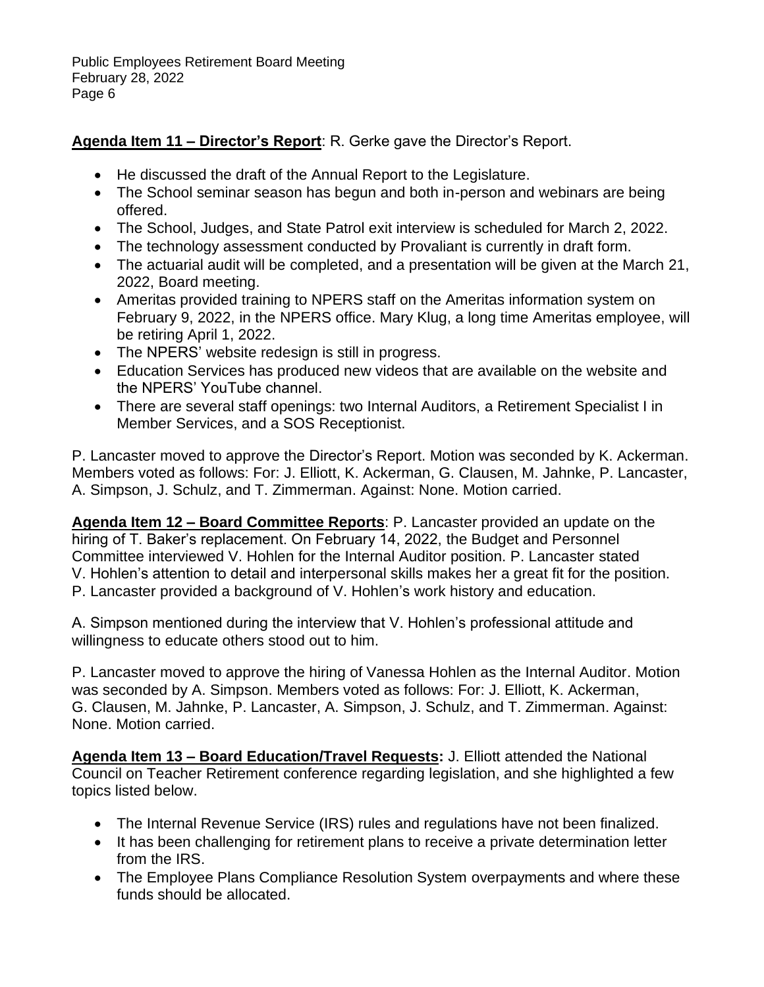# **Agenda Item 11 – Director's Report**: R. Gerke gave the Director's Report.

- He discussed the draft of the Annual Report to the Legislature.
- The School seminar season has begun and both in-person and webinars are being offered.
- The School, Judges, and State Patrol exit interview is scheduled for March 2, 2022.
- The technology assessment conducted by Provaliant is currently in draft form.
- The actuarial audit will be completed, and a presentation will be given at the March 21, 2022, Board meeting.
- Ameritas provided training to NPERS staff on the Ameritas information system on February 9, 2022, in the NPERS office. Mary Klug, a long time Ameritas employee, will be retiring April 1, 2022.
- The NPERS' website redesign is still in progress.
- Education Services has produced new videos that are available on the website and the NPERS' YouTube channel.
- There are several staff openings: two Internal Auditors, a Retirement Specialist I in Member Services, and a SOS Receptionist.

P. Lancaster moved to approve the Director's Report. Motion was seconded by K. Ackerman. Members voted as follows: For: J. Elliott, K. Ackerman, G. Clausen, M. Jahnke, P. Lancaster, A. Simpson, J. Schulz, and T. Zimmerman. Against: None. Motion carried.

**Agenda Item 12 – Board Committee Reports**: P. Lancaster provided an update on the hiring of T. Baker's replacement. On February 14, 2022, the Budget and Personnel Committee interviewed V. Hohlen for the Internal Auditor position. P. Lancaster stated V. Hohlen's attention to detail and interpersonal skills makes her a great fit for the position. P. Lancaster provided a background of V. Hohlen's work history and education.

A. Simpson mentioned during the interview that V. Hohlen's professional attitude and willingness to educate others stood out to him.

P. Lancaster moved to approve the hiring of Vanessa Hohlen as the Internal Auditor. Motion was seconded by A. Simpson. Members voted as follows: For: J. Elliott, K. Ackerman, G. Clausen, M. Jahnke, P. Lancaster, A. Simpson, J. Schulz, and T. Zimmerman. Against: None. Motion carried.

**Agenda Item 13 – Board Education/Travel Requests:** J. Elliott attended the National Council on Teacher Retirement conference regarding legislation, and she highlighted a few topics listed below.

- The Internal Revenue Service (IRS) rules and regulations have not been finalized.
- It has been challenging for retirement plans to receive a private determination letter from the IRS.
- The Employee Plans Compliance Resolution System overpayments and where these funds should be allocated.